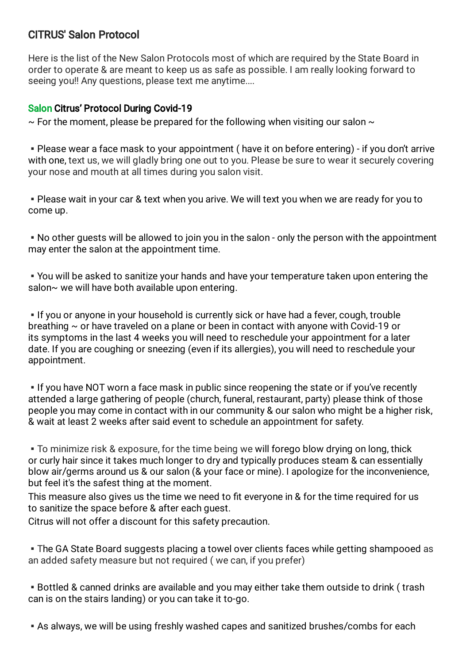## CITRUS' Salon Protocol

Here is the list of the New Salon Protocols most of which are required by the State Board in order to operate & are meant to keep us as safe as possible. I am really looking forward to seeing you!! Any questions, please text me anytime....

## Salon Citrus' Protocol During Covid-19

 $\sim$  For the moment, please be prepared for the following when visiting our salon  $\sim$ 

▪Please wear a face mask to your appointment ( have it on before entering) - if you don't arrive with one, text us, we will gladly bring one out to you. Please be sure to wear it securely covering your nose and mouth at all times during you salon visit.

▪Please wait in your car & text when you arive. We will text you when we are ready for you to come up.

▪No other guests will be allowed to join you in the salon - only the person with the appointment may enter the salon at the appointment time.

▪You will be asked to sanitize your hands and have your temperature taken upon entering the salon~ we will have both available upon entering.

**.** If you or anyone in your household is currently sick or have had a fever, cough, trouble breathing  $\sim$  or have traveled on a plane or been in contact with anyone with Covid-19 or its symptoms in the last 4 weeks you will need to reschedule your appointment for a later date. If you are coughing or sneezing (even if its allergies), you will need to reschedule your appointment.

**.** If you have NOT worn a face mask in public since reopening the state or if you've recently attended a large gathering of people (church, funeral, restaurant, party) please think of those people you may come in contact with in our community & our salon who might be a higher risk, & wait at least 2 weeks after said event to schedule an appointment for safety.

▪To minimize risk & exposure, for the time being we will forego blow drying on long, thick or curly hair since it takes much longer to dry and typically produces steam & can essentially blow air/germs around us & our salon (& your face or mine). I apologize for the inconvenience, but feel it's the safest thing at the moment.

This measure also gives us the time we need to fit everyone in & for the time required for us to sanitize the space before & after each guest.

Citrus will not offer a discount for this safety precaution.

• The GA State Board suggests placing a towel over clients faces while getting shampooed as an added safety measure but not required ( we can, if you prefer)

▪Bottled & canned drinks are available and you may either take them outside to drink ( trash can is on the stairs landing) or you can take it to-go.

**Exage 1 As always, we will be using freshly washed capes and sanitized brushes/combs for each**